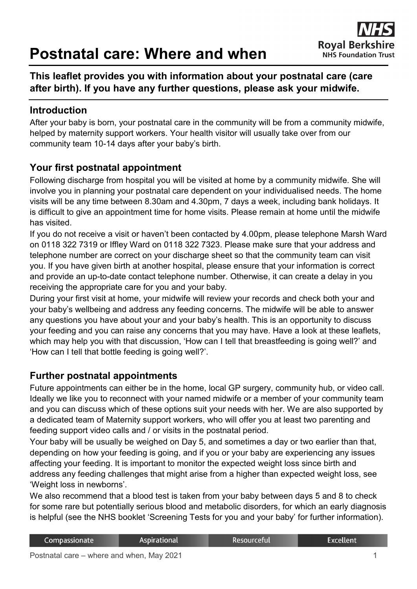# **Postnatal care: Where and when**

# **This leaflet provides you with information about your postnatal care (care after birth). If you have any further questions, please ask your midwife.**

## **Introduction**

After your baby is born, your postnatal care in the community will be from a community midwife, helped by maternity support workers. Your health visitor will usually take over from our community team 10-14 days after your baby's birth.

# **Your first postnatal appointment**

Following discharge from hospital you will be visited at home by a community midwife. She will involve you in planning your postnatal care dependent on your individualised needs. The home visits will be any time between 8.30am and 4.30pm, 7 days a week, including bank holidays. It is difficult to give an appointment time for home visits. Please remain at home until the midwife has visited.

If you do not receive a visit or haven't been contacted by 4.00pm, please telephone Marsh Ward on 0118 322 7319 or Iffley Ward on 0118 322 7323. Please make sure that your address and telephone number are correct on your discharge sheet so that the community team can visit you. If you have given birth at another hospital, please ensure that your information is correct and provide an up-to-date contact telephone number. Otherwise, it can create a delay in you receiving the appropriate care for you and your baby.

During your first visit at home, your midwife will review your records and check both your and your baby's wellbeing and address any feeding concerns. The midwife will be able to answer any questions you have about your and your baby's health. This is an opportunity to discuss your feeding and you can raise any concerns that you may have. Have a look at these leaflets, which may help you with that discussion, 'How can I tell that breastfeeding is going well?' and 'How can I tell that bottle feeding is going well?'.

#### **Further postnatal appointments**

Future appointments can either be in the home, local GP surgery, community hub, or video call. Ideally we like you to reconnect with your named midwife or a member of your community team and you can discuss which of these options suit your needs with her. We are also supported by a dedicated team of Maternity support workers, who will offer you at least two parenting and feeding support video calls and / or visits in the postnatal period.

Your baby will be usually be weighed on Day 5, and sometimes a day or two earlier than that, depending on how your feeding is going, and if you or your baby are experiencing any issues affecting your feeding. It is important to monitor the expected weight loss since birth and address any feeding challenges that might arise from a higher than expected weight loss, see 'Weight loss in newborns'.

We also recommend that a blood test is taken from your baby between days 5 and 8 to check for some rare but potentially serious blood and metabolic disorders, for which an early diagnosis is helpful (see the NHS booklet 'Screening Tests for you and your baby' for further information).

| Compassionate | <b>Aspirational</b> | Resourceful | Excellent |
|---------------|---------------------|-------------|-----------|
|               |                     |             |           |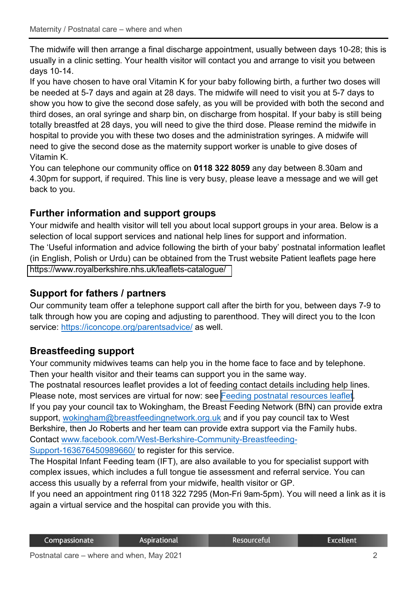The midwife will then arrange a final discharge appointment, usually between days 10-28; this is usually in a clinic setting. Your health visitor will contact you and arrange to visit you between days 10-14.

If you have chosen to have oral Vitamin K for your baby following birth, a further two doses will be needed at 5-7 days and again at 28 days. The midwife will need to visit you at 5-7 days to show you how to give the second dose safely, as you will be provided with both the second and third doses, an oral syringe and sharp bin, on discharge from hospital. If your baby is still being totally breastfed at 28 days, you will need to give the third dose. Please remind the midwife in hospital to provide you with these two doses and the administration syringes. A midwife will need to give the second dose as the maternity support worker is unable to give doses of Vitamin K.

You can telephone our community office on **0118 322 8059** any day between 8.30am and 4.30pm for support, if required. This line is very busy, please leave a message and we will get back to you.

# **Further information and support groups**

Your midwife and health visitor will tell you about local support groups in your area. Below is a selection of local support services and national help lines for support and information. The 'Useful information and advice following the birth of your baby' postnatal information leaflet (in English, Polish or Urdu) can be obtained from the Trust website Patient leaflets page here <https://www.royalberkshire.nhs.uk/leaflets-catalogue/>

# **Support for fathers / partners**

Our community team offer a telephone support call after the birth for you, between days 7-9 to talk through how you are coping and adjusting to parenthood. They will direct you to the Icon service: <https://iconcope.org/parentsadvice/> as well.

# **Breastfeeding support**

Your community midwives teams can help you in the home face to face and by telephone. Then your health visitor and their teams can support you in the same way.

The postnatal resources leaflet provides a lot of feeding contact details including help lines. Please note, most services are virtual for now: see Feeding postnatal [resources leaflet.](https://www.royalberkshire.nhs.uk/leaflets-catalogue/)

If you pay your council tax to Wokingham, the Breast Feeding Network (BfN) can provide extra support[, wokingham@breastfeedingnetwork.org.uk](mailto:wokingham@breastfeedingnetwork.org.uk) and if you pay council tax to West Berkshire, then Jo Roberts and her team can provide extra support via the Family hubs. Contact [www.facebook.com/West-Berkshire-Community-Breastfeeding-](http://www.facebook.com/West-Berkshire-Community-Breastfeeding-Support-163676450989660/)

[Support-163676450989660/ to register for this service.](http://www.facebook.com/West-Berkshire-Community-Breastfeeding-Support-163676450989660/) 

The Hospital Infant Feeding team (IFT), are also available to you for specialist support with complex issues, which includes a full tongue tie assessment and referral service. You can access this usually by a referral from your midwife, health visitor or GP.

If you need an appointment ring 0118 322 7295 (Mon-Fri 9am-5pm). You will need a link as it is again a virtual service and the hospital can provide you with this.